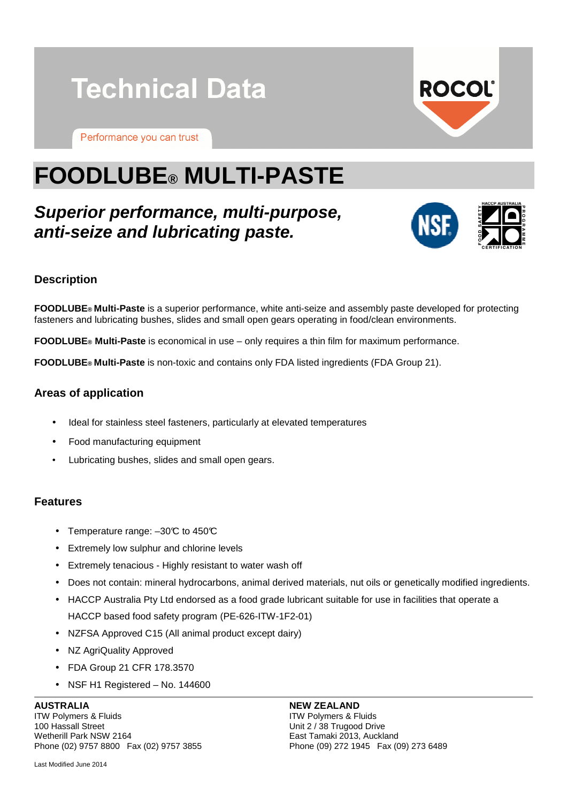

Performance you can trust



# **FOODLUBE® MULTI-PASTE**

# **Superior performance, multi-purpose, anti-seize and lubricating paste.**



# **Description**

**FOODLUBE® Multi-Paste** is a superior performance, white anti-seize and assembly paste developed for protecting fasteners and lubricating bushes, slides and small open gears operating in food/clean environments.

**FOODLUBE® Multi-Paste** is economical in use – only requires a thin film for maximum performance.

**FOODLUBE® Multi-Paste** is non-toxic and contains only FDA listed ingredients (FDA Group 21).

# **Areas of application**

- Ideal for stainless steel fasteners, particularly at elevated temperatures
- Food manufacturing equipment
- Lubricating bushes, slides and small open gears.

#### **Features**

- Temperature range:  $-30\text{°C}$  to  $450\text{°C}$
- Extremely low sulphur and chlorine levels
- Extremely tenacious Highly resistant to water wash off
- Does not contain: mineral hydrocarbons, animal derived materials, nut oils or genetically modified ingredients.
- HACCP Australia Pty Ltd endorsed as a food grade lubricant suitable for use in facilities that operate a

HACCP based food safety program (PE-626-ITW-1F2-01)

- NZFSA Approved C15 (All animal product except dairy)
- NZ AgriQuality Approved
- FDA Group 21 CFR 178.3570
- NSF H1 Registered No. 144600

#### **AUSTRALIA**

ITW Polymers & Fluids 100 Hassall Street Wetherill Park NSW 2164 Phone (02) 9757 8800 Fax (02) 9757 3855

Last Modified June 2014

#### **NEW ZEALAND**

ITW Polymers & Fluids Unit 2 / 38 Trugood Drive East Tamaki 2013, Auckland Phone (09) 272 1945 Fax (09) 273 6489